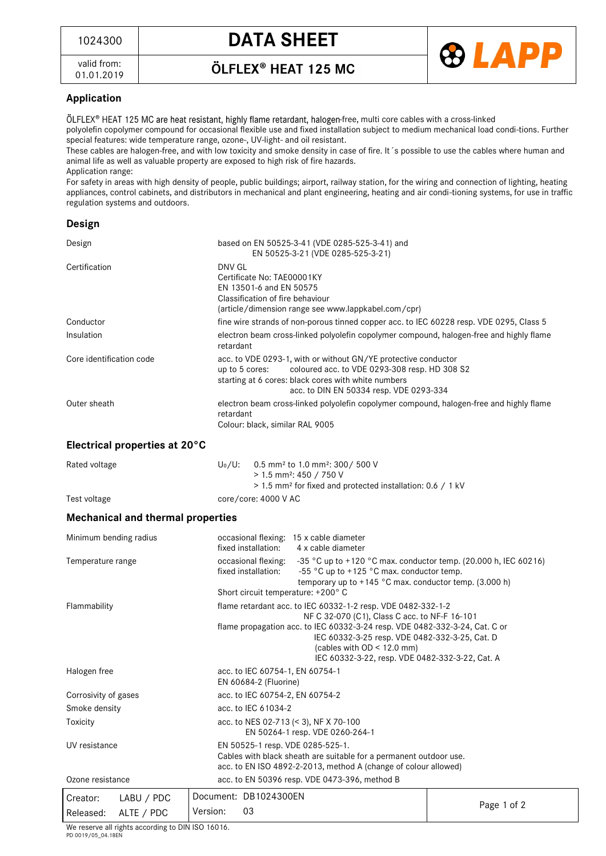valid from: 01.01.2019 ÖLFLEX<sup>®</sup> HEAT 125 MC



## **Application**

ÖLFLEX® HEAT 125 MC are heat resistant, highly flame retardant, halogen-free, multi core cables with a cross-linked polyolefin copolymer compound for occasional flexible use and fixed installation subject to medium mechanical load condi-tions. Further special features: wide temperature range, ozone-, UV-light- and oil resistant.

These cables are halogen-free, and with low toxicity and smoke density in case of fire. It´s possible to use the cables where human and animal life as well as valuable property are exposed to high risk of fire hazards.

Application range:

For safety in areas with high density of people, public buildings; airport, railway station, for the wiring and connection of lighting, heating appliances, control cabinets, and distributors in mechanical and plant engineering, heating and air condi-tioning systems, for use in traffic regulation systems and outdoors.

## **Design**

| Design                   |                                                   | based on EN 50525-3-41 (VDE 0285-525-3-41) and<br>EN 50525-3-21 (VDE 0285-525-3-21)                                                                                                                                                 |                                                                                                                                                                                                                                                                                                                                   |  |                                               |             |  |
|--------------------------|---------------------------------------------------|-------------------------------------------------------------------------------------------------------------------------------------------------------------------------------------------------------------------------------------|-----------------------------------------------------------------------------------------------------------------------------------------------------------------------------------------------------------------------------------------------------------------------------------------------------------------------------------|--|-----------------------------------------------|-------------|--|
| Certification            | DNV GL                                            | Certificate No: TAE00001KY<br>EN 13501-6 and EN 50575<br>Classification of fire behaviour<br>(article/dimension range see www.lappkabel.com/cpr)                                                                                    |                                                                                                                                                                                                                                                                                                                                   |  |                                               |             |  |
| Conductor                |                                                   |                                                                                                                                                                                                                                     | fine wire strands of non-porous tinned copper acc. to IEC 60228 resp. VDE 0295, Class 5                                                                                                                                                                                                                                           |  |                                               |             |  |
| Insulation               |                                                   | retardant                                                                                                                                                                                                                           | electron beam cross-linked polyolefin copolymer compound, halogen-free and highly flame                                                                                                                                                                                                                                           |  |                                               |             |  |
| Core identification code |                                                   | acc. to VDE 0293-1, with or without GN/YE protective conductor<br>coloured acc. to VDE 0293-308 resp. HD 308 S2<br>up to 5 cores:<br>starting at 6 cores: black cores with white numbers<br>acc. to DIN EN 50334 resp. VDE 0293-334 |                                                                                                                                                                                                                                                                                                                                   |  |                                               |             |  |
| Outer sheath             | retardant                                         | electron beam cross-linked polyolefin copolymer compound, halogen-free and highly flame<br>Colour: black, similar RAL 9005                                                                                                          |                                                                                                                                                                                                                                                                                                                                   |  |                                               |             |  |
|                          | Electrical properties at 20°C                     |                                                                                                                                                                                                                                     |                                                                                                                                                                                                                                                                                                                                   |  |                                               |             |  |
| Rated voltage            | $U_0/U$ :                                         | 0.5 mm <sup>2</sup> to 1.0 mm <sup>2</sup> : 300/ 500 V<br>$> 1.5$ mm <sup>2</sup> : 450 / 750 V<br>> 1.5 mm <sup>2</sup> for fixed and protected installation: 0.6 / 1 kV                                                          |                                                                                                                                                                                                                                                                                                                                   |  |                                               |             |  |
| Test voltage             |                                                   |                                                                                                                                                                                                                                     | core/core: 4000 V AC                                                                                                                                                                                                                                                                                                              |  |                                               |             |  |
|                          | <b>Mechanical and thermal properties</b>          |                                                                                                                                                                                                                                     |                                                                                                                                                                                                                                                                                                                                   |  |                                               |             |  |
| Minimum bending radius   |                                                   |                                                                                                                                                                                                                                     | occasional flexing: 15 x cable diameter<br>fixed installation:<br>4 x cable diameter                                                                                                                                                                                                                                              |  |                                               |             |  |
| Temperature range        |                                                   |                                                                                                                                                                                                                                     | -35 °C up to +120 °C max. conductor temp. (20.000 h, IEC 60216)<br>occasional flexing:<br>fixed installation:<br>-55 °C up to $+125$ °C max. conductor temp.<br>temporary up to +145 °C max. conductor temp. (3.000 h)<br>Short circuit temperature: +200°C                                                                       |  |                                               |             |  |
| Flammability             |                                                   |                                                                                                                                                                                                                                     | flame retardant acc. to IEC 60332-1-2 resp. VDE 0482-332-1-2<br>NF C 32-070 (C1), Class C acc. to NF-F 16-101<br>flame propagation acc. to IEC 60332-3-24 resp. VDE 0482-332-3-24, Cat. C or<br>IEC 60332-3-25 resp. VDE 0482-332-3-25, Cat. D<br>(cables with $OD < 12.0$ mm)<br>IEC 60332-3-22, resp. VDE 0482-332-3-22, Cat. A |  |                                               |             |  |
| Halogen free             |                                                   |                                                                                                                                                                                                                                     | acc. to IEC 60754-1, EN 60754-1<br>EN 60684-2 (Fluorine)                                                                                                                                                                                                                                                                          |  |                                               |             |  |
| Corrosivity of gases     |                                                   |                                                                                                                                                                                                                                     | acc. to IEC 60754-2, EN 60754-2                                                                                                                                                                                                                                                                                                   |  |                                               |             |  |
| Smoke density            |                                                   |                                                                                                                                                                                                                                     | acc. to IEC 61034-2                                                                                                                                                                                                                                                                                                               |  |                                               |             |  |
| Toxicity                 |                                                   |                                                                                                                                                                                                                                     | acc. to NES 02-713 (< 3), NF X 70-100<br>EN 50264-1 resp. VDE 0260-264-1                                                                                                                                                                                                                                                          |  |                                               |             |  |
| UV resistance            |                                                   |                                                                                                                                                                                                                                     | EN 50525-1 resp. VDE 0285-525-1.<br>Cables with black sheath are suitable for a permanent outdoor use.<br>acc. to EN ISO 4892-2-2013, method A (change of colour allowed)                                                                                                                                                         |  |                                               |             |  |
| Ozone resistance         |                                                   |                                                                                                                                                                                                                                     |                                                                                                                                                                                                                                                                                                                                   |  | acc. to EN 50396 resp. VDE 0473-396, method B |             |  |
| Creator:                 | Document: DB1024300EN<br>LABU / PDC               |                                                                                                                                                                                                                                     |                                                                                                                                                                                                                                                                                                                                   |  |                                               | Page 1 of 2 |  |
| ALTE / PDC<br>Released:  |                                                   | Version:<br>03                                                                                                                                                                                                                      |                                                                                                                                                                                                                                                                                                                                   |  |                                               |             |  |
|                          | We reserve all rights according to DIN ISO 16016. |                                                                                                                                                                                                                                     |                                                                                                                                                                                                                                                                                                                                   |  |                                               |             |  |

s according to DIN ISO 16016. PD 0019/05\_04.18EN